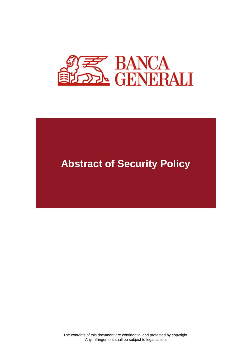

# **Abstract of Security Policy**

The contents of this document are confidential and protected by copyright. Any infringement shall be subject to legal action.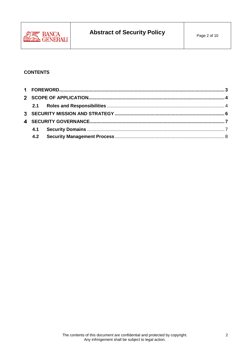

### **CONTENTS**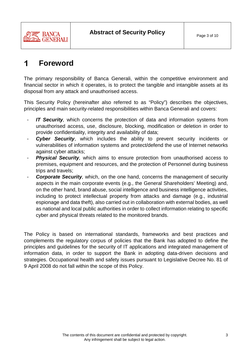

#### <span id="page-2-0"></span>1 **Foreword**

The primary responsibility of Banca Generali, within the competitive environment and financial sector in which it operates, is to protect the tangible and intangible assets at its disposal from any attack and unauthorised access.

This Security Policy (hereinafter also referred to as "Policy") describes the objectives, principles and main security-related responsibilities within Banca Generali and covers:

- *IT Security*, which concerns the protection of data and information systems from unauthorised access, use, disclosure, blocking, modification or deletion in order to provide confidentiality, integrity and availability of data;
- **Cyber Security**, which includes the ability to prevent security incidents or vulnerabilities of information systems and protect/defend the use of Internet networks against cyber attacks;
- **Physical Security**, which aims to ensure protection from unauthorised access to premises, equipment and resources, and the protection of Personnel during business trips and travels;
- **Corporate Security**, which, on the one hand, concerns the management of security aspects in the main corporate events (e.g., the General Shareholders' Meeting) and, on the other hand, brand abuse, social intelligence and business intelligence activities, including to protect intellectual property from attacks and damage (e.g., industrial espionage and data theft), also carried out in collaboration with external bodies, as well as national and local public authorities in order to collect information relating to specific cyber and physical threats related to the monitored brands.

The Policy is based on international standards, frameworks and best practices and complements the regulatory corpus of policies that the Bank has adopted to define the principles and guidelines for the security of IT applications and integrated management of information data, in order to support the Bank in adopting data-driven decisions and strategies. Occupational health and safety issues pursuant to Legislative Decree No. 81 of 9 April 2008 do not fall within the scope of this Policy.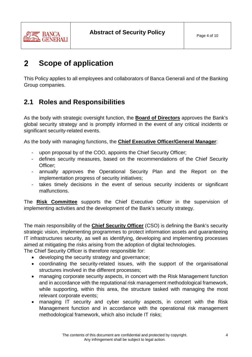

#### <span id="page-3-0"></span> $\overline{2}$ **Scope of application**

This Policy applies to all employees and collaborators of Banca Generali and of the Banking Group companies.

## <span id="page-3-1"></span>**2.1 Roles and Responsibilities**

As the body with strategic oversight function, the **Board of Directors** approves the Bank's global security strategy and is promptly informed in the event of any critical incidents or significant security-related events.

As the body with managing functions, the **Chief Executive Officer/General Manager**:

- upon proposal by of the COO, appoints the Chief Security Officer;
- defines security measures, based on the recommendations of the Chief Security Officer;
- annually approves the Operational Security Plan and the Report on the implementation progress of security initiatives;
- takes timely decisions in the event of serious security incidents or significant malfunctions.

The **Risk Committee** supports the Chief Executive Officer in the supervision of implementing activities and the development of the Bank's security strategy.

The main responsibility of the **Chief Security Officer** (CSO) is defining the Bank's security strategic vision, implementing programmes to protect information assets and guaranteeing IT infrastructures security, as well as identifying, developing and implementing processes aimed at mitigating the risks arising from the adoption of digital technologies.

The Chief Security Officer is therefore responsible for:

- developing the security strategy and governance;
- coordinating the security-related issues, with the support of the organisational structures involved in the different processes;
- managing corporate security aspects, in concert with the Risk Management function and in accordance with the reputational risk management methodological framework, while supporting, within this area, the structure tasked with managing the most relevant corporate events;
- managing IT security and cyber security aspects, in concert with the Risk Management function and in accordance with the operational risk management methodological framework, which also include IT risks;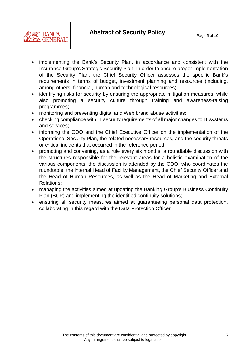

- implementing the Bank's Security Plan, in accordance and consistent with the Insurance Group's Strategic Security Plan. In order to ensure proper implementation of the Security Plan, the Chief Security Officer assesses the specific Bank's requirements in terms of budget, investment planning and resources (including, among others, financial, human and technological resources);
- identifying risks for security by ensuring the appropriate mitigation measures, while also promoting a security culture through training and awareness-raising programmes;
- monitoring and preventing digital and Web brand abuse activities;
- checking compliance with IT security requirements of all major changes to IT systems and services;
- informing the COO and the Chief Executive Officer on the implementation of the Operational Security Plan, the related necessary resources, and the security threats or critical incidents that occurred in the reference period;
- promoting and convening, as a rule every six months, a roundtable discussion with the structures responsible for the relevant areas for a holistic examination of the various components; the discussion is attended by the COO, who coordinates the roundtable, the internal Head of Facility Management, the Chief Security Officer and the Head of Human Resources, as well as the Head of Marketing and External Relations;
- managing the activities aimed at updating the Banking Group's Business Continuity Plan (BCP) and implementing the identified continuity solutions;
- ensuring all security measures aimed at guaranteeing personal data protection, collaborating in this regard with the Data Protection Officer.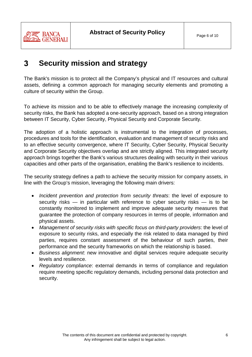

#### <span id="page-5-0"></span> $\mathbf{3}$ **Security mission and strategy**

The Bank's mission is to protect all the Company's physical and IT resources and cultural assets, defining a common approach for managing security elements and promoting a culture of security within the Group.

To achieve its mission and to be able to effectively manage the increasing complexity of security risks, the Bank has adopted a one-security approach, based on a strong integration between IT Security, Cyber Security, Physical Security and Corporate Security.

The adoption of a holistic approach is instrumental to the integration of processes, procedures and tools for the identification, evaluation and management of security risks and to an effective security convergence, where IT Security, Cyber Security, Physical Security and Corporate Security objectives overlap and are strictly aligned. This integrated security approach brings together the Bank's various structures dealing with security in their various capacities and other parts of the organisation, enabling the Bank's resilience to incidents.

The security strategy defines a path to achieve the security mission for company assets, in line with the Group's mission, leveraging the following main drivers:

- *Incident prevention and protection from security threats*: the level of exposure to security risks — in particular with reference to cyber security risks — is to be constantly monitored to implement and improve adequate security measures that guarantee the protection of company resources in terms of people, information and physical assets.
- *Management of security risks with specific focus on third-party providers*: the level of exposure to security risks, and especially the risk related to data managed by third parties, requires constant assessment of the behaviour of such parties, their performance and the security frameworks on which the relationship is based.
- *Business alignment*: new innovative and digital services require adequate security levels and resilience.
- *Regulatory compliance*: external demands in terms of compliance and regulation require meeting specific regulatory demands, including personal data protection and security.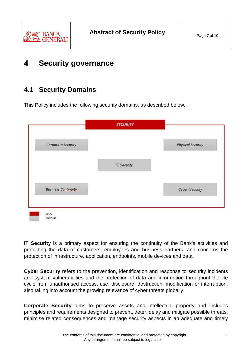

#### <span id="page-6-0"></span>4 **Security governance**

## <span id="page-6-1"></span>**4.1 Security Domains**

This Policy includes the following security domains, as described below.

| Corporate Security         |                    | <b>Physical Security</b> |
|----------------------------|--------------------|--------------------------|
|                            | <b>IT Security</b> |                          |
| <b>Business Continuity</b> |                    | <b>Cyber Security</b>    |

**IT Security** is a primary aspect for ensuring the continuity of the Bank's activities and protecting the data of customers, employees and business partners, and concerns the protection of infrastructure, application, endpoints, mobile devices and data.

**Cyber Security** refers to the prevention, identification and response to security incidents and system vulnerabilities and the protection of data and information throughout the life cycle from unauthorised access, use, disclosure, destruction, modification or interruption, also taking into account the growing relevance of cyber threats globally.

**Corporate Security** aims to preserve assets and intellectual property and includes principles and requirements designed to prevent, deter, delay and mitigate possible threats, minimise related consequences and manage security aspects in an adequate and timely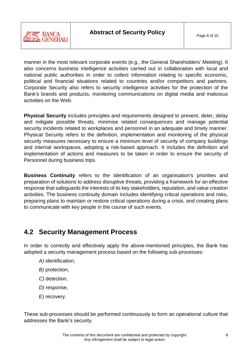

manner in the most relevant corporate events (e.g., the General Shareholders' Meeting). It also concerns business intelligence activities carried out in collaboration with local and national public authorities in order to collect information relating to specific economic, political and financial situations related to countries and/or competitors and partners. Corporate Security also refers to security intelligence activities for the protection of the Bank's brands and products, monitoring communications on digital media and malicious activities on the Web.

**Physical Security** includes principles and requirements designed to prevent, deter, delay and mitigate possible threats, minimise related consequences and manage potential security incidents related to workplaces and personnel in an adequate and timely manner. Physical Security refers to the definition, implementation and monitoring of the physical security measures necessary to ensure a minimum level of security of company buildings and internal workspaces, adopting a risk-based approach. It includes the definition and implementation of actions and measures to be taken in order to ensure the security of Personnel during business trips.

**Business Continuity** refers to the identification of an organisation's priorities and preparation of solutions to address disruptive threats, providing a framework for an effective response that safeguards the interests of its key stakeholders*,* reputation, and value creation activities. The business continuity domain includes identifying critical operations and risks, preparing plans to maintain or restore critical operations during a crisis, and creating plans to communicate with key people in the course of such events.

## <span id="page-7-0"></span>**4.2 Security Management Process**

In order to correctly and effectively apply the above-mentioned principles, the Bank has adopted a security management process based on the following sub-processes:

- *A)* identification,
- *B)* protection,
- *C)* detection,
- *D)* response,
- *E)* recovery.

These sub-processes should be performed continuously to form an operational culture that addresses the Bank's security.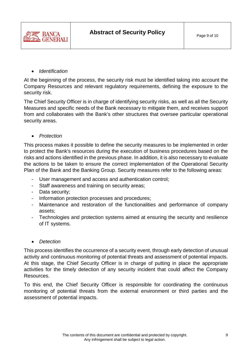

### • *Identification*

At the beginning of the process, the security risk must be identified taking into account the Company Resources and relevant regulatory requirements, defining the exposure to the security risk.

The Chief Security Officer is in charge of identifying security risks, as well as all the Security Measures and specific needs of the Bank necessary to mitigate them, and receives support from and collaborates with the Bank's other structures that oversee particular operational security areas.

### • *Protection*

This process makes it possible to define the security measures to be implemented in order to protect the Bank's resources during the execution of business procedures based on the risks and actions identified in the previous phase. In addition, it is also necessary to evaluate the actions to be taken to ensure the correct implementation of the Operational Security Plan of the Bank and the Banking Group. Security measures refer to the following areas:

- User management and access and authentication control;
- Staff awareness and training on security areas;
- Data security;
- Information protection processes and procedures;
- Maintenance and restoration of the functionalities and performance of company assets;
- Technologies and protection systems aimed at ensuring the security and resilience of IT systems.

## • *Detection*

This process identifies the occurrence of a security event, through early detection of unusual activity and continuous monitoring of potential threats and assessment of potential impacts. At this stage, the Chief Security Officer is in charge of putting in place the appropriate activities for the timely detection of any security incident that could affect the Company Resources.

To this end, the Chief Security Officer is responsible for coordinating the continuous monitoring of potential threats from the external environment or third parties and the assessment of potential impacts.